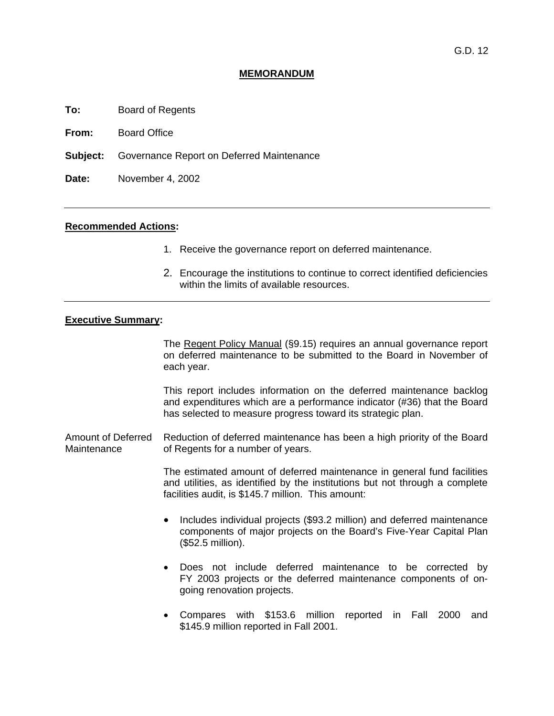## **MEMORANDUM**

**To:** Board of Regents

**From:** Board Office

**Subject:** Governance Report on Deferred Maintenance

**Date:** November 4, 2002

## **Recommended Actions:**

- 1. Receive the governance report on deferred maintenance.
- 2. Encourage the institutions to continue to correct identified deficiencies within the limits of available resources.

## **Executive Summary:**

 The Regent Policy Manual (§9.15) requires an annual governance report on deferred maintenance to be submitted to the Board in November of each year.

 This report includes information on the deferred maintenance backlog and expenditures which are a performance indicator (#36) that the Board has selected to measure progress toward its strategic plan.

Amount of Deferred Maintenance Reduction of deferred maintenance has been a high priority of the Board of Regents for a number of years.

> The estimated amount of deferred maintenance in general fund facilities and utilities, as identified by the institutions but not through a complete facilities audit, is \$145.7 million. This amount:

- Includes individual projects (\$93.2 million) and deferred maintenance components of major projects on the Board's Five-Year Capital Plan (\$52.5 million).
- Does not include deferred maintenance to be corrected by FY 2003 projects or the deferred maintenance components of ongoing renovation projects.
- Compares with \$153.6 million reported in Fall 2000 and \$145.9 million reported in Fall 2001.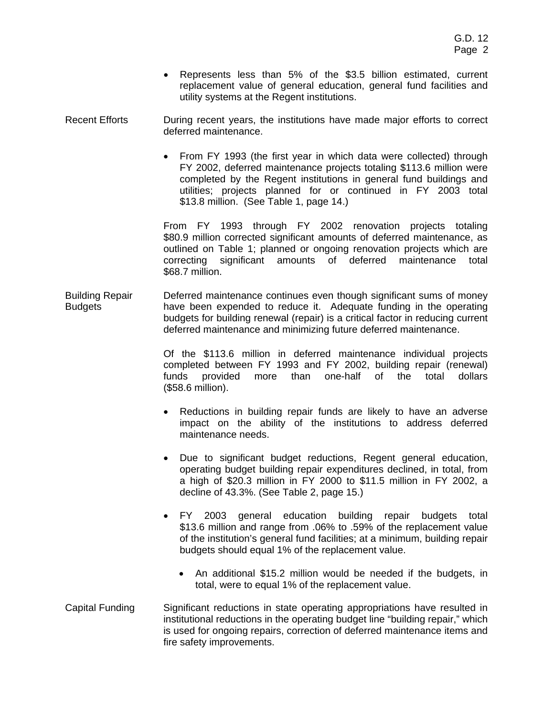- Represents less than 5% of the \$3.5 billion estimated, current replacement value of general education, general fund facilities and utility systems at the Regent institutions.
- Recent Efforts During recent years, the institutions have made major efforts to correct deferred maintenance.
	- From FY 1993 (the first year in which data were collected) through FY 2002, deferred maintenance projects totaling \$113.6 million were completed by the Regent institutions in general fund buildings and utilities; projects planned for or continued in FY 2003 total \$13.8 million. (See Table 1, page 14.)

 From FY 1993 through FY 2002 renovation projects totaling \$80.9 million corrected significant amounts of deferred maintenance, as outlined on Table 1; planned or ongoing renovation projects which are correcting significant amounts of deferred maintenance total \$68.7 million.

Building Repair Budgets Deferred maintenance continues even though significant sums of money have been expended to reduce it. Adequate funding in the operating budgets for building renewal (repair) is a critical factor in reducing current deferred maintenance and minimizing future deferred maintenance.

> Of the \$113.6 million in deferred maintenance individual projects completed between FY 1993 and FY 2002, building repair (renewal) funds provided more than one-half of the total dollars (\$58.6 million).

- Reductions in building repair funds are likely to have an adverse impact on the ability of the institutions to address deferred maintenance needs.
- Due to significant budget reductions, Regent general education, operating budget building repair expenditures declined, in total, from a high of \$20.3 million in FY 2000 to \$11.5 million in FY 2002, a decline of 43.3%. (See Table 2, page 15.)
- FY 2003 general education building repair budgets total \$13.6 million and range from .06% to .59% of the replacement value of the institution's general fund facilities; at a minimum, building repair budgets should equal 1% of the replacement value.
	- An additional \$15.2 million would be needed if the budgets, in total, were to equal 1% of the replacement value.
- Capital Funding Significant reductions in state operating appropriations have resulted in institutional reductions in the operating budget line "building repair," which is used for ongoing repairs, correction of deferred maintenance items and fire safety improvements.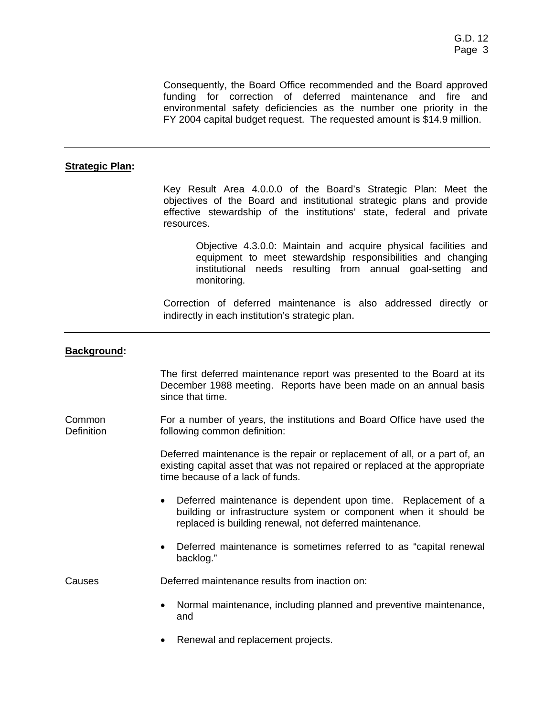Consequently, the Board Office recommended and the Board approved funding for correction of deferred maintenance and fire and environmental safety deficiencies as the number one priority in the FY 2004 capital budget request. The requested amount is \$14.9 million.

## **Strategic Plan:**

Key Result Area 4.0.0.0 of the Board's Strategic Plan: Meet the objectives of the Board and institutional strategic plans and provide effective stewardship of the institutions' state, federal and private resources.

Objective 4.3.0.0: Maintain and acquire physical facilities and equipment to meet stewardship responsibilities and changing institutional needs resulting from annual goal-setting and monitoring.

Correction of deferred maintenance is also addressed directly or indirectly in each institution's strategic plan.

## **Background:**

The first deferred maintenance report was presented to the Board at its December 1988 meeting. Reports have been made on an annual basis since that time.

Common Definition For a number of years, the institutions and Board Office have used the following common definition:

> Deferred maintenance is the repair or replacement of all, or a part of, an existing capital asset that was not repaired or replaced at the appropriate time because of a lack of funds.

- Deferred maintenance is dependent upon time. Replacement of a building or infrastructure system or component when it should be replaced is building renewal, not deferred maintenance.
- Deferred maintenance is sometimes referred to as "capital renewal backlog."

Causes Deferred maintenance results from inaction on:

- Normal maintenance, including planned and preventive maintenance, and
- Renewal and replacement projects.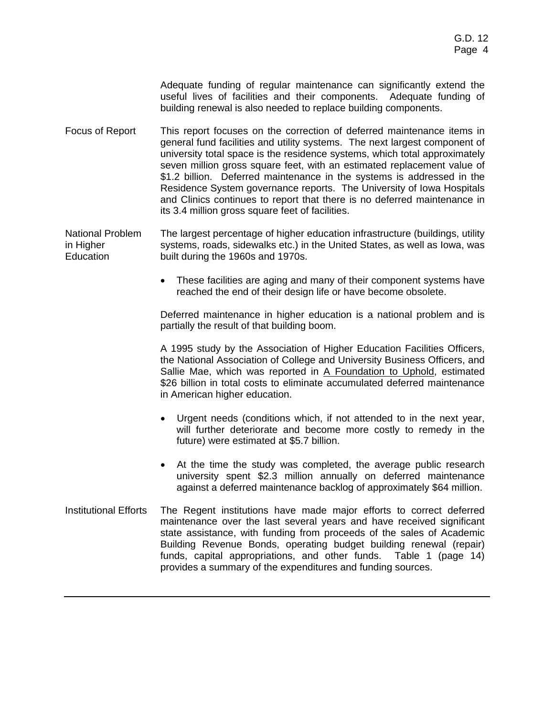Adequate funding of regular maintenance can significantly extend the useful lives of facilities and their components. Adequate funding of building renewal is also needed to replace building components.

Focus of Report This report focuses on the correction of deferred maintenance items in general fund facilities and utility systems. The next largest component of university total space is the residence systems, which total approximately seven million gross square feet, with an estimated replacement value of \$1.2 billion. Deferred maintenance in the systems is addressed in the Residence System governance reports. The University of Iowa Hospitals and Clinics continues to report that there is no deferred maintenance in its 3.4 million gross square feet of facilities.

National Problem in Higher **Education** The largest percentage of higher education infrastructure (buildings, utility systems, roads, sidewalks etc.) in the United States, as well as Iowa, was built during the 1960s and 1970s.

> • These facilities are aging and many of their component systems have reached the end of their design life or have become obsolete.

> Deferred maintenance in higher education is a national problem and is partially the result of that building boom.

> A 1995 study by the Association of Higher Education Facilities Officers, the National Association of College and University Business Officers, and Sallie Mae, which was reported in A Foundation to Uphold, estimated \$26 billion in total costs to eliminate accumulated deferred maintenance in American higher education.

- Urgent needs (conditions which, if not attended to in the next year, will further deteriorate and become more costly to remedy in the future) were estimated at \$5.7 billion.
- At the time the study was completed, the average public research university spent \$2.3 million annually on deferred maintenance against a deferred maintenance backlog of approximately \$64 million.
- Institutional Efforts The Regent institutions have made major efforts to correct deferred maintenance over the last several years and have received significant state assistance, with funding from proceeds of the sales of Academic Building Revenue Bonds, operating budget building renewal (repair) funds, capital appropriations, and other funds. Table 1 (page 14) provides a summary of the expenditures and funding sources.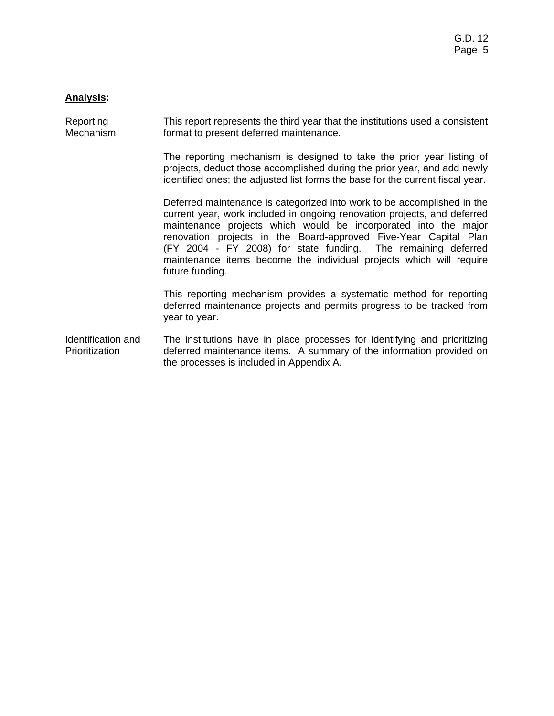## **Analysis:**

Reporting **Mechanism** This report represents the third year that the institutions used a consistent format to present deferred maintenance.

> The reporting mechanism is designed to take the prior year listing of projects, deduct those accomplished during the prior year, and add newly identified ones; the adjusted list forms the base for the current fiscal year.

> Deferred maintenance is categorized into work to be accomplished in the current year, work included in ongoing renovation projects, and deferred maintenance projects which would be incorporated into the major renovation projects in the Board-approved Five-Year Capital Plan (FY 2004 - FY 2008) for state funding. The remaining deferred maintenance items become the individual projects which will require future funding.

> This reporting mechanism provides a systematic method for reporting deferred maintenance projects and permits progress to be tracked from year to year.

Identification and Prioritization The institutions have in place processes for identifying and prioritizing deferred maintenance items. A summary of the information provided on the processes is included in Appendix A.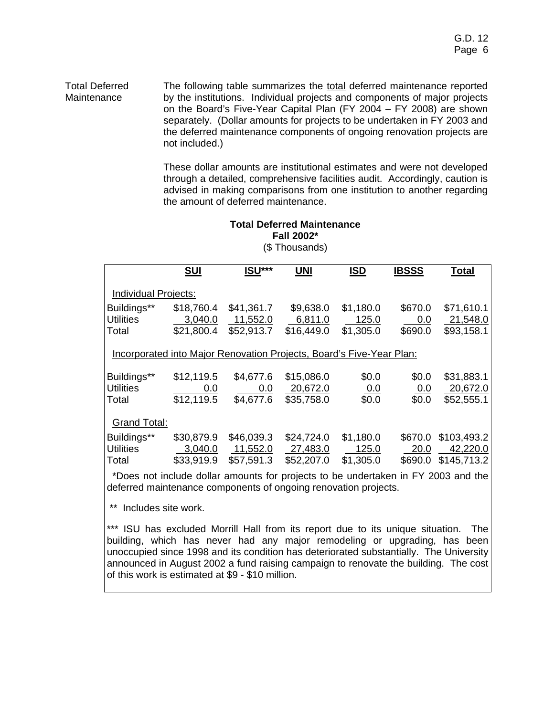Total Deferred Maintenance The following table summarizes the total deferred maintenance reported by the institutions. Individual projects and components of major projects on the Board's Five-Year Capital Plan (FY 2004 – FY 2008) are shown separately. (Dollar amounts for projects to be undertaken in FY 2003 and the deferred maintenance components of ongoing renovation projects are not included.)

> These dollar amounts are institutional estimates and were not developed through a detailed, comprehensive facilities audit. Accordingly, caution is advised in making comparisons from one institution to another regarding the amount of deferred maintenance.

## **Total Deferred Maintenance Fall 2002\*** (\$ Thousands)

|                                          | <b>SUI</b>                                                                        | ISU***                               | <b>UNI</b>                           | <b>ISD</b>                      | <b>IBSSS</b>                 | <b>Total</b>                           |
|------------------------------------------|-----------------------------------------------------------------------------------|--------------------------------------|--------------------------------------|---------------------------------|------------------------------|----------------------------------------|
| Individual Projects:                     |                                                                                   |                                      |                                      |                                 |                              |                                        |
| Buildings**<br><b>Utilities</b><br>Total | \$18,760.4<br>3,040.0<br>\$21,800.4                                               | \$41,361.7<br>11,552.0<br>\$52,913.7 | \$9,638.0<br>6,811.0<br>\$16,449.0   | \$1,180.0<br>125.0<br>\$1,305.0 | \$670.0<br>0.0<br>\$690.0    | \$71,610.1<br>21,548.0<br>\$93,158.1   |
|                                          | Incorporated into Major Renovation Projects, Board's Five-Year Plan:              |                                      |                                      |                                 |                              |                                        |
| Buildings**<br><b>Utilities</b><br>Total | \$12,119.5<br>0.0<br>\$12,119.5                                                   | \$4,677.6<br>0.0<br>\$4,677.6        | \$15,086.0<br>20,672.0<br>\$35,758.0 | \$0.0<br><u>0.0</u><br>\$0.0    | \$0.0<br><u>0.0</u><br>\$0.0 | \$31,883.1<br>20,672.0<br>\$52,555.1   |
| <b>Grand Total:</b>                      |                                                                                   |                                      |                                      |                                 |                              |                                        |
| Buildings**<br><b>Utilities</b><br>Total | \$30,879.9<br>3,040.0<br>\$33,919.9                                               | \$46,039.3<br>11,552.0<br>\$57,591.3 | \$24,724.0<br>27,483.0<br>\$52,207.0 | \$1,180.0<br>125.0<br>\$1,305.0 | \$670.0<br>20.0<br>\$690.0   | \$103,493.2<br>42,220.0<br>\$145,713.2 |
|                                          | *Dees not include deller emounte for projects to be undertaken in EV 2002 and the |                                      |                                      |                                 |                              |                                        |

Does not include dollar amounts for projects to be undertaken in FY 2003 and the deferred maintenance components of ongoing renovation projects.

\*\* Includes site work.

\*\*\* ISU has excluded Morrill Hall from its report due to its unique situation. The building, which has never had any major remodeling or upgrading, has been unoccupied since 1998 and its condition has deteriorated substantially. The University announced in August 2002 a fund raising campaign to renovate the building. The cost of this work is estimated at \$9 - \$10 million.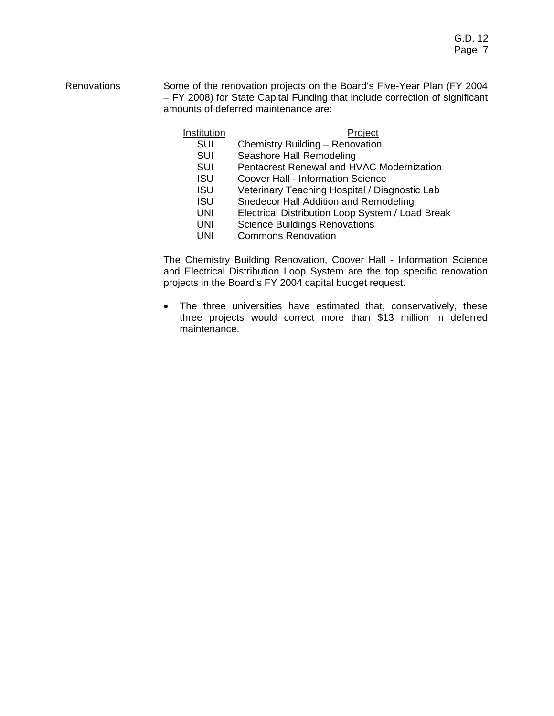Renovations Some of the renovation projects on the Board's Five-Year Plan (FY 2004) – FY 2008) for State Capital Funding that include correction of significant amounts of deferred maintenance are:

## **Institution** Project

- SUI Chemistry Building Renovation
- SUI Seashore Hall Remodeling
- SUI Pentacrest Renewal and HVAC Modernization
- 
- **ISU** Coover Hall Information Science<br>ISU Veterinary Teaching Hospital / Dia Veterinary Teaching Hospital / Diagnostic Lab
- ISU Snedecor Hall Addition and Remodeling
- UNI Electrical Distribution Loop System / Load Break
- UNI Science Buildings Renovations
- UNI Commons Renovation

 The Chemistry Building Renovation, Coover Hall - Information Science and Electrical Distribution Loop System are the top specific renovation projects in the Board's FY 2004 capital budget request.

• The three universities have estimated that, conservatively, these three projects would correct more than \$13 million in deferred maintenance.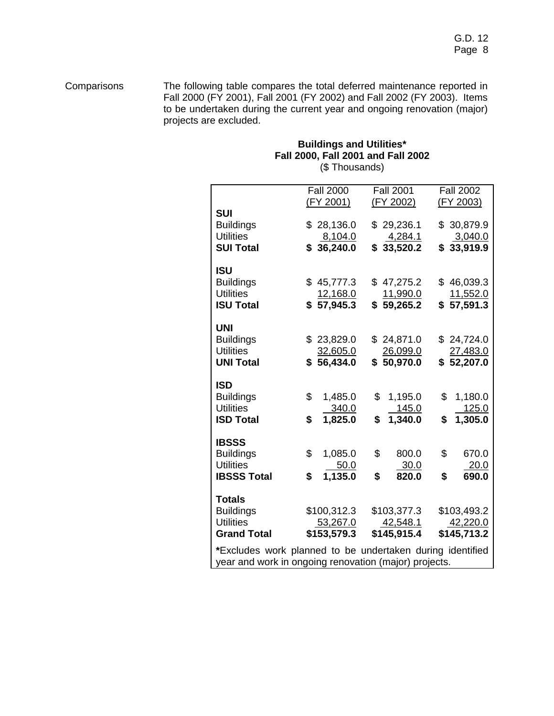Comparisons The following table compares the total deferred maintenance reported in Fall 2000 (FY 2001), Fall 2001 (FY 2002) and Fall 2002 (FY 2003). Items to be undertaken during the current year and ongoing renovation (major) projects are excluded.

## **Buildings and Utilities\* Fall 2000, Fall 2001 and Fall 2002**  (\$ Thousands)

|                                                           | <b>Fall 2000</b>       | <b>Fall 2001</b>        | <b>Fall 2002</b>        |
|-----------------------------------------------------------|------------------------|-------------------------|-------------------------|
|                                                           | (FY 2001)              | (FY 2002)               | (FY 2003)               |
| <b>SUI</b>                                                |                        |                         |                         |
| <b>Buildings</b>                                          | \$28,136.0             | \$29,236.1              | \$30,879.9              |
| <b>Utilities</b>                                          | 8,104.0                | <u>4,284.1</u>          | 3,040.0                 |
| <b>SUI Total</b>                                          | \$36,240.0             | \$33,520.2              | \$33,919.9              |
|                                                           |                        |                         |                         |
| <b>ISU</b>                                                |                        |                         |                         |
| <b>Buildings</b>                                          | \$45,777.3             | \$47,275.2              | \$46,039.3              |
| <b>Utilities</b>                                          |                        |                         | 11,552.0                |
|                                                           | 12,168.0<br>\$57,945.3 | 11,990.0                |                         |
| <b>ISU Total</b>                                          |                        | \$59,265.2              | \$57,591.3              |
|                                                           |                        |                         |                         |
| <b>UNI</b>                                                |                        |                         |                         |
| <b>Buildings</b>                                          | \$23,829.0             | \$24,871.0              | \$24,724.0              |
| <b>Utilities</b>                                          | 32,605.0               | 26,099.0                | 27,483.0                |
| <b>UNI Total</b>                                          | \$56,434.0             | \$50,970.0              | \$52,207.0              |
|                                                           |                        |                         |                         |
| <b>ISD</b>                                                |                        |                         |                         |
| <b>Buildings</b>                                          | \$<br>1,485.0          | \$<br>1,195.0           | \$<br>1,180.0           |
| <b>Utilities</b>                                          | 340.0                  | 145.0                   | 125.0                   |
| <b>ISD Total</b>                                          | \$<br>1,825.0          | \$<br>1,340.0           | \$<br>1,305.0           |
|                                                           |                        |                         |                         |
| <b>IBSSS</b>                                              |                        |                         |                         |
| <b>Buildings</b>                                          | \$<br>1,085.0          | \$<br>800.0             | \$<br>670.0             |
| <b>Utilities</b>                                          | 50.0                   | 30.0                    | 20.0                    |
| <b>IBSSS Total</b>                                        | \$<br>1,135.0          | \$<br>820.0             | \$<br>690.0             |
|                                                           |                        |                         |                         |
| <b>Totals</b>                                             |                        |                         |                         |
| <b>Buildings</b>                                          | \$100,312.3            | \$103,377.3             | \$103,493.2             |
| <b>Utilities</b>                                          |                        |                         |                         |
| <b>Grand Total</b>                                        | 53,267.0               | 42,548.1<br>\$145,915.4 | 42,220.0<br>\$145,713.2 |
|                                                           | \$153,579.3            |                         |                         |
| *Excludes work planned to be undertaken during identified |                        |                         |                         |
| year and work in ongoing renovation (major) projects.     |                        |                         |                         |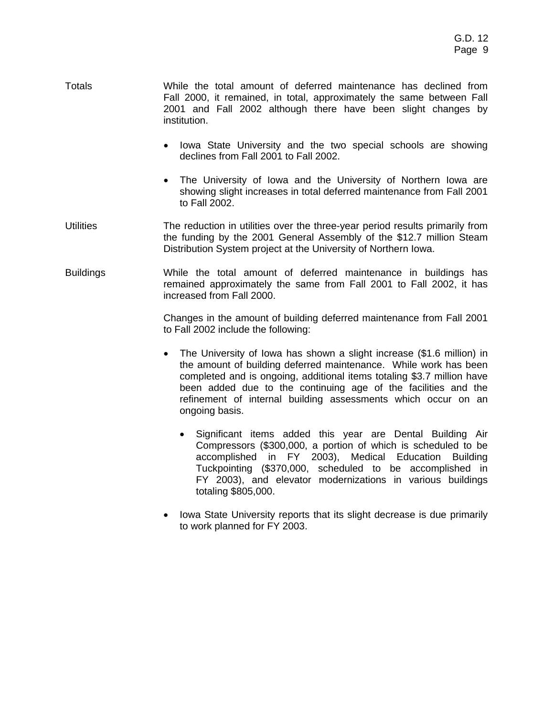- Totals While the total amount of deferred maintenance has declined from Fall 2000, it remained, in total, approximately the same between Fall 2001 and Fall 2002 although there have been slight changes by institution.
	- Iowa State University and the two special schools are showing declines from Fall 2001 to Fall 2002.
	- The University of Iowa and the University of Northern Iowa are showing slight increases in total deferred maintenance from Fall 2001 to Fall 2002.
- Utilities The reduction in utilities over the three-year period results primarily from the funding by the 2001 General Assembly of the \$12.7 million Steam Distribution System project at the University of Northern Iowa.
- Buildings While the total amount of deferred maintenance in buildings has remained approximately the same from Fall 2001 to Fall 2002, it has increased from Fall 2000.

 Changes in the amount of building deferred maintenance from Fall 2001 to Fall 2002 include the following:

- The University of Iowa has shown a slight increase (\$1.6 million) in the amount of building deferred maintenance. While work has been completed and is ongoing, additional items totaling \$3.7 million have been added due to the continuing age of the facilities and the refinement of internal building assessments which occur on an ongoing basis.
	- Significant items added this year are Dental Building Air Compressors (\$300,000, a portion of which is scheduled to be accomplished in FY 2003), Medical Education Building Tuckpointing (\$370,000, scheduled to be accomplished in FY 2003), and elevator modernizations in various buildings totaling \$805,000.
- Iowa State University reports that its slight decrease is due primarily to work planned for FY 2003.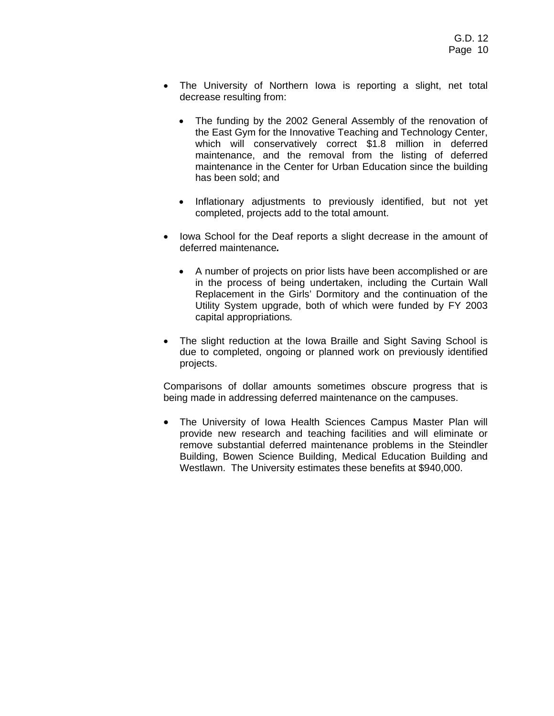- The University of Northern Iowa is reporting a slight, net total decrease resulting from:
	- The funding by the 2002 General Assembly of the renovation of the East Gym for the Innovative Teaching and Technology Center, which will conservatively correct \$1.8 million in deferred maintenance, and the removal from the listing of deferred maintenance in the Center for Urban Education since the building has been sold; and
	- Inflationary adjustments to previously identified, but not yet completed, projects add to the total amount.
- Iowa School for the Deaf reports a slight decrease in the amount of deferred maintenance*.* 
	- A number of projects on prior lists have been accomplished or are in the process of being undertaken, including the Curtain Wall Replacement in the Girls' Dormitory and the continuation of the Utility System upgrade, both of which were funded by FY 2003 capital appropriations*.*
- The slight reduction at the Iowa Braille and Sight Saving School is due to completed, ongoing or planned work on previously identified projects.

 Comparisons of dollar amounts sometimes obscure progress that is being made in addressing deferred maintenance on the campuses.

• The University of Iowa Health Sciences Campus Master Plan will provide new research and teaching facilities and will eliminate or remove substantial deferred maintenance problems in the Steindler Building, Bowen Science Building, Medical Education Building and Westlawn. The University estimates these benefits at \$940,000.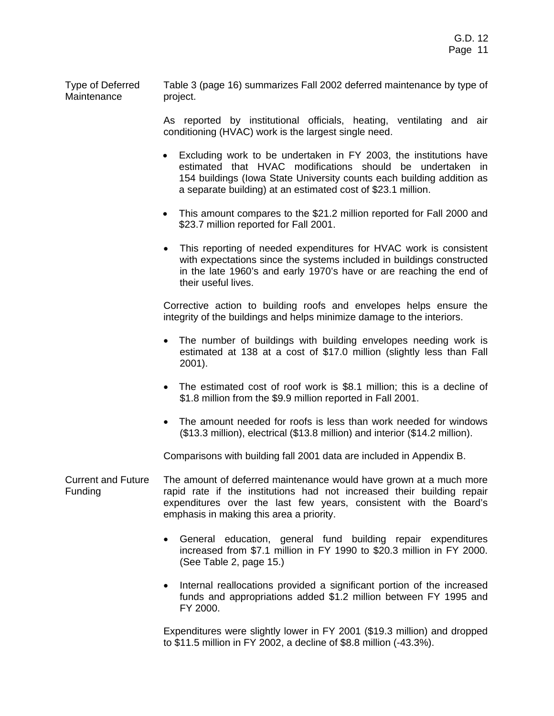Type of Deferred Maintenance Table 3 (page 16) summarizes Fall 2002 deferred maintenance by type of project.

> As reported by institutional officials, heating, ventilating and air conditioning (HVAC) work is the largest single need.

- Excluding work to be undertaken in FY 2003, the institutions have estimated that HVAC modifications should be undertaken in 154 buildings (Iowa State University counts each building addition as a separate building) at an estimated cost of \$23.1 million.
- This amount compares to the \$21.2 million reported for Fall 2000 and \$23.7 million reported for Fall 2001.
- This reporting of needed expenditures for HVAC work is consistent with expectations since the systems included in buildings constructed in the late 1960's and early 1970's have or are reaching the end of their useful lives.

 Corrective action to building roofs and envelopes helps ensure the integrity of the buildings and helps minimize damage to the interiors.

- The number of buildings with building envelopes needing work is estimated at 138 at a cost of \$17.0 million (slightly less than Fall 2001).
- The estimated cost of roof work is \$8.1 million; this is a decline of \$1.8 million from the \$9.9 million reported in Fall 2001.
- The amount needed for roofs is less than work needed for windows (\$13.3 million), electrical (\$13.8 million) and interior (\$14.2 million).

Comparisons with building fall 2001 data are included in Appendix B.

- Current and Future Funding The amount of deferred maintenance would have grown at a much more rapid rate if the institutions had not increased their building repair expenditures over the last few years, consistent with the Board's emphasis in making this area a priority.
	- General education, general fund building repair expenditures increased from \$7.1 million in FY 1990 to \$20.3 million in FY 2000. (See Table 2, page 15.)
	- Internal reallocations provided a significant portion of the increased funds and appropriations added \$1.2 million between FY 1995 and FY 2000.

 Expenditures were slightly lower in FY 2001 (\$19.3 million) and dropped to \$11.5 million in FY 2002, a decline of \$8.8 million (-43.3%).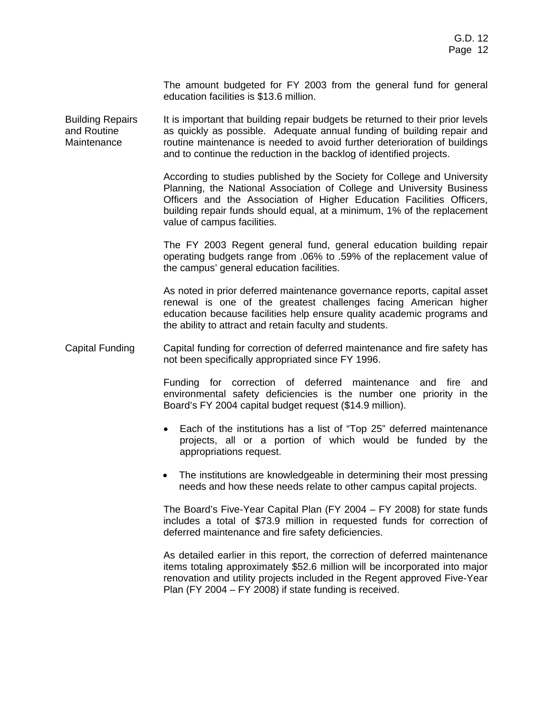The amount budgeted for FY 2003 from the general fund for general education facilities is \$13.6 million.

Building Repairs and Routine Maintenance It is important that building repair budgets be returned to their prior levels as quickly as possible. Adequate annual funding of building repair and routine maintenance is needed to avoid further deterioration of buildings and to continue the reduction in the backlog of identified projects.

> According to studies published by the Society for College and University Planning, the National Association of College and University Business Officers and the Association of Higher Education Facilities Officers, building repair funds should equal, at a minimum, 1% of the replacement value of campus facilities.

> The FY 2003 Regent general fund, general education building repair operating budgets range from .06% to .59% of the replacement value of the campus' general education facilities.

> As noted in prior deferred maintenance governance reports, capital asset renewal is one of the greatest challenges facing American higher education because facilities help ensure quality academic programs and the ability to attract and retain faculty and students.

## Capital Funding Capital funding for correction of deferred maintenance and fire safety has not been specifically appropriated since FY 1996.

 Funding for correction of deferred maintenance and fire and environmental safety deficiencies is the number one priority in the Board's FY 2004 capital budget request (\$14.9 million).

- Each of the institutions has a list of "Top 25" deferred maintenance projects, all or a portion of which would be funded by the appropriations request.
- The institutions are knowledgeable in determining their most pressing needs and how these needs relate to other campus capital projects.

 The Board's Five-Year Capital Plan (FY 2004 – FY 2008) for state funds includes a total of \$73.9 million in requested funds for correction of deferred maintenance and fire safety deficiencies.

 As detailed earlier in this report, the correction of deferred maintenance items totaling approximately \$52.6 million will be incorporated into major renovation and utility projects included in the Regent approved Five-Year Plan (FY 2004 – FY 2008) if state funding is received.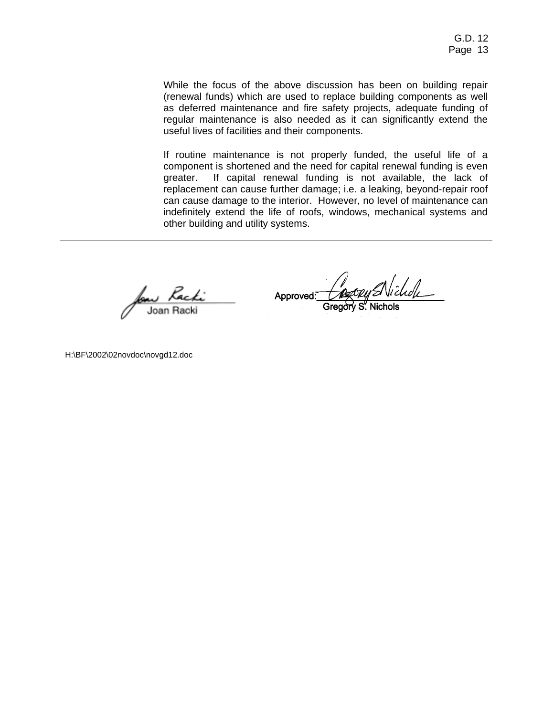While the focus of the above discussion has been on building repair (renewal funds) which are used to replace building components as well as deferred maintenance and fire safety projects, adequate funding of regular maintenance is also needed as it can significantly extend the useful lives of facilities and their components.

If routine maintenance is not properly funded, the useful life of a component is shortened and the need for capital renewal funding is even greater. If capital renewal funding is not available, the lack of replacement can cause further damage; i.e. a leaking, beyond-repair roof can cause damage to the interior. However, no level of maintenance can indefinitely extend the life of roofs, windows, mechanical systems and other building and utility systems.

s Kachi Joan Racki

Approved:

H:\BF\2002\02novdoc\novgd12.doc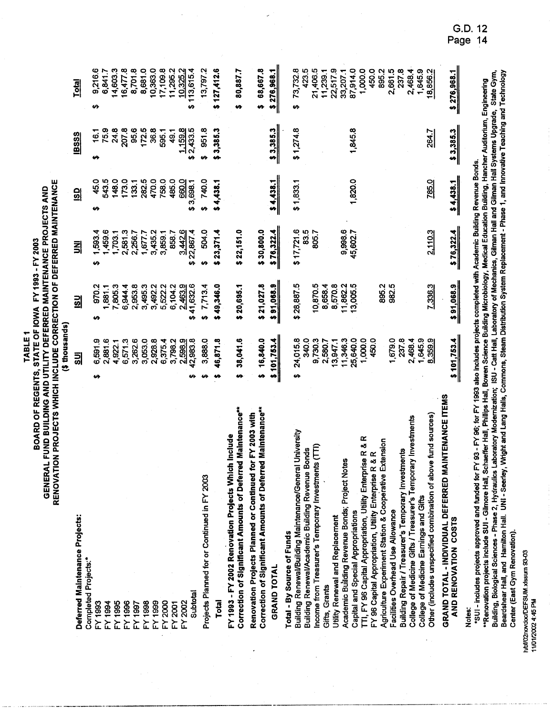TABLE<sub>1</sub>

**OF DEFERRED MAINTENANCE** BOARD OF REGENTS, STATE OF IOWA FY 1993 - FY 2003<br>GENERAL FUND BUILDING AND UTILITY DEFERRED MAINTENANCE PROJECTS AND RENOVATION PROJECTS

| ٠ |    |
|---|----|
| į |    |
|   | Ĵ, |
|   |    |
| Į |    |
|   |    |
|   |    |

|                                                                                                                                                     | <b>Example super</b> |                      |               |                      |                               |                 |
|-----------------------------------------------------------------------------------------------------------------------------------------------------|----------------------|----------------------|---------------|----------------------|-------------------------------|-----------------|
| Deferred Maintenance Projects:                                                                                                                      | 딃                    | $\frac{1}{2}$        | 뢰             | <u>၅</u>             | <b>IBSSS</b>                  | <u>Total</u>    |
| <b>Completed Projects:*</b>                                                                                                                         |                      |                      |               |                      |                               |                 |
| FY 1993                                                                                                                                             | 6,591.9<br>↮         | 970.2<br>မာ          | 1,593.4<br>မာ | 45.0<br>မာ           | ┯<br>$\ddot{\mathbf{e}}$<br>↮ | 9,216.6<br>↮    |
| FY 1994                                                                                                                                             | 2,881.6              | 1,881.1              | 1,459.6       | 543.5                | 75.9                          | 6,841.7         |
|                                                                                                                                                     | 4,922.1              | 7,805.3              | 1,703.1       | 148.0                | 24.8                          | 14,603.3        |
| FY 1995                                                                                                                                             |                      |                      |               |                      |                               |                 |
| FY 1996                                                                                                                                             | 6,571.3              | 6,944.4              | 2,581.3       | 173.0                | 207.8                         | 16,477.8        |
| FY1997                                                                                                                                              | 3,262.6              | 2,953.8              | 2,256.7       | 133.1                | 95.6                          | 8,701.8         |
| FY 1998                                                                                                                                             | 3,053.0              | 3,495.3              | 1,677.7       | 282.5                | 172.5                         | 8,681.0         |
| FY 1999                                                                                                                                             | 2,928.8              | 3,492.2              | 3,435.2       | 470.0                | 36.8                          | 10,363.0        |
| FY 2000                                                                                                                                             | 6,375.4              | 5,522.2              | 3,859.1       | 758.0                | 595.1                         | 17,109.8        |
| FY 2001                                                                                                                                             | 3,798.2              | 6,104.2              | 858.7         | 485.0                | 49.1                          | 11,295.2        |
| FY 2002                                                                                                                                             | 2,598.9              | 2.463.9              | 3.442.6       | 660.0                | 1,159.8                       | 10,325.2        |
| Subtotal                                                                                                                                            | 42,983.8             | 41,632.6<br>ø        | 22,867.4<br>ŵ | 3,698.1<br><b>SA</b> | \$2,433.5                     | 113,615.4<br>မာ |
| Projects Planned for or Continued in FY 2003                                                                                                        | 3,888.0              | 7,713.4<br><b>SA</b> | 504.0<br>↮    | 740.0<br>69          | 951.8<br><b>SQ</b>            | 13,797.2        |
|                                                                                                                                                     |                      |                      |               |                      |                               |                 |
| <b>Total</b>                                                                                                                                        | 46,871.8<br>n        | 49,346.0<br>m        | \$23,371.4    | \$4,438.1            | \$3,385.3                     | \$127,412.6     |
| FY 1993 - FY 2002 Renovation Projects Which Include                                                                                                 |                      |                      |               |                      |                               |                 |
| Correction of Significant Amounts of Deferred Maintenance**                                                                                         | 38,041.6<br>u        | \$20,695.1           | \$22,151.0    |                      |                               | 80,887.7        |
| Renovation Projects Planned or Continued for FY 2003 with                                                                                           |                      |                      |               |                      |                               |                 |
| Correction of Significant Amounts of Deferred Maintenance**                                                                                         | 16,840.0<br>n        | \$21,027.8           | \$30,800.0    |                      |                               | 68,667.8<br>m   |
| GRAND TOTAL                                                                                                                                         | \$101,753.4          | \$91,068.9           | \$76,322.4    | \$4,438.1            | \$3,385.3                     | \$276,968.1     |
|                                                                                                                                                     |                      |                      |               |                      |                               |                 |
| Total - By Source of Funds                                                                                                                          |                      |                      |               |                      |                               |                 |
| University<br>Building Renewal/Building Maintenance/General                                                                                         | 24,015.8<br>H        | \$28,887.5           | \$17,721.6    | \$1,833.1            | \$1,274.8                     | 73,732.8<br>\$  |
| <b>Building Renewal/Academic Building Revenue Bonds</b>                                                                                             | 340.0                |                      | 83.5          |                      |                               | 423.5           |
| Income from Treasurer's Temporary Investments (TTI)                                                                                                 | 9,730.3              | 10,870.5             | 805.7         |                      |                               | 21,406.5        |
| Gifts, Grants                                                                                                                                       | 2,580.7              | 8,658.4              |               |                      |                               | 11,239.1        |
| Utility Renewal and Replacement                                                                                                                     | 13,947.1             | 8,570.8              |               |                      |                               | 22,517.9        |
| Academic Building Revenue Bonds; Project Notes                                                                                                      | 11,346.3             | 11,862.2             | 9,998.6       |                      |                               | 33,207.1        |
| Capital and Special Appropriations                                                                                                                  | 25,640.0             | 13,005.5             | 45,602.7      | 1,820.0              | 1,845.8                       | 87,914.0        |
| TTI, FY 96 Capital Appropriation, Utility Enterprise R & R                                                                                          | 1,000.0              |                      |               |                      |                               | 1,000.0         |
|                                                                                                                                                     | 450.0                |                      |               |                      |                               | 450.0           |
| FY 96 Capital Appropriation, Utility Enterprise R & R<br>Agriculture Experiment Station & Cooperative Extension                                     |                      | 895.2                |               |                      |                               | 895.2           |
| Facilities Overhead Use Allowance                                                                                                                   | 1,679.0              | 982.5                |               |                      |                               | 2,661.5         |
| Building Repair / Treasurer's Temporary Investments                                                                                                 | 237.8                |                      |               |                      |                               | 237.8           |
| College of Medicine Gifts / Treasurer's Temporary Investments                                                                                       | 2,468.4              |                      |               |                      |                               | 2,468.4         |
| College of Medicine Earnings and Gifts                                                                                                              | 1,645.9              |                      |               |                      |                               | 1,645.9         |
| Other (includes unspecified combination of above fund sources)                                                                                      | 8,359.9              | 7,336.3              | 2.110.3       | 785.0                | 264.7                         | 18,856.2        |
| GRAND TOTAL - INDIVIDUAL DEFERRED MAINTENANCE ITEMS<br>AND RENOVATION COSTS                                                                         | \$101,753.4          | \$91,068.9           | \$76,322.4    | \$4,438.1            | $\frac{53,385.3}{2}$          | \$276,968.1     |
| Notes:                                                                                                                                              |                      |                      |               |                      |                               |                 |
| s III - includes projects approved and funded for FY 93 - FY 96: for FY 1993 also includes projects completed with Academic Building Revenue Bonds. |                      |                      |               |                      |                               |                 |

oor - includes projects approved and runcer or the vertice of the controller to the Magnetic Christman (include<br>\*Renovation projects include SUI - Gilmore Hall, Schaeffer Hall, Phillips Hall, Rowen Science Building Microbi Center (East Gym Renovation).

h/bf/02novdoc/DEFSUM.xlssum 93-03 11/01/2002 4:45 PM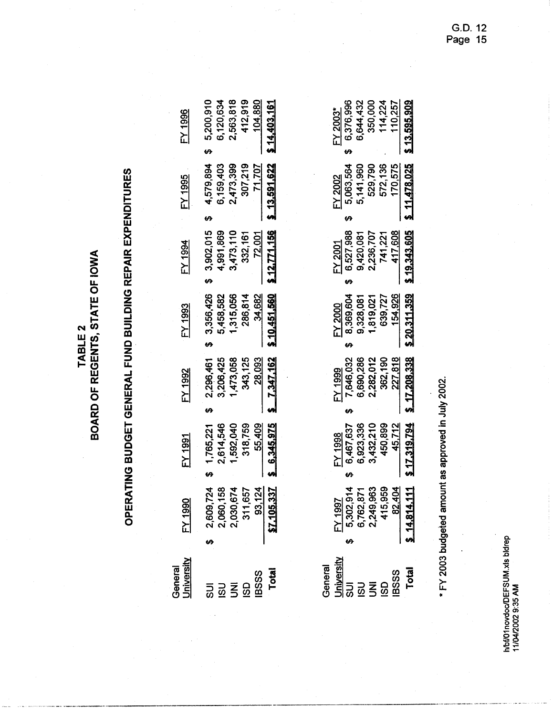|--|

# OPERATING BUDGET GENERAL FUND BUILDING REPAIR EXPENDITURES

| Jniversity<br>General | <u>FY 1990</u>                                                           | FY 1991     | FY 1992          | FY 1993    | FY 1994    | FY 1995                                             | <b>FY 1996</b> |
|-----------------------|--------------------------------------------------------------------------|-------------|------------------|------------|------------|-----------------------------------------------------|----------------|
|                       |                                                                          | \$1,765,221 |                  |            |            | $$2,296,461$ $$3,356,426$ $$3,902,015$ $$4,579,894$ | \$5,200,910    |
|                       |                                                                          | 2,614,546   | 3,206,425        | 5,458,582  | 1,991,869  | 6,159,403                                           | 6,120,634      |
|                       |                                                                          | 1,592,040   | 1,473,058        | 1,315,056  | 3,473,110  | 2,473,399                                           | 2,563,818      |
|                       |                                                                          | 318,759     | 343,125          | 286,814    | 332,161    | 307,219                                             | 412,919        |
|                       |                                                                          | 55,409      | 28.093           | 34,682     | 72.001     | <u>71,707</u>                                       | 104,880        |
|                       | \$2,609,724<br>2,060,158<br>2,030,674<br>311,657<br>83,124<br>87,105,337 | 6.345.975   | <u>7,347,162</u> | 10.451.560 | 12,771,156 | $-13,591,622$                                       | 14,403,161     |

General

| 13.595.90                                                              |                                                                                 | 0.343.60                                                             | 5 20.311.359                                                                                                          | $5 - 17.208.338$                                                                              | 17.319.794                                                                   |                                                                                                      | <b>Total</b>                                             |
|------------------------------------------------------------------------|---------------------------------------------------------------------------------|----------------------------------------------------------------------|-----------------------------------------------------------------------------------------------------------------------|-----------------------------------------------------------------------------------------------|------------------------------------------------------------------------------|------------------------------------------------------------------------------------------------------|----------------------------------------------------------|
| $E$ Y 2003*<br>6,376,996<br>6,644,432<br>350,000<br>114,224<br>110,257 | $\frac{FY 2002}{5,063,564}$<br>5,141,960<br>5,141,960<br>572,136<br>571,478,025 | FY 2001<br>6,527,988<br>9,420,081<br>2,236,707<br>741,221<br>417,608 | $\frac{FY2000}{8,369,604}$<br>$\begin{array}{c} 9,369,604 \\ 9,328,081 \\ 1,819,021 \\ 639,727 \\ \hline \end{array}$ | $\frac{[N \ 1999}{7,646,032}$<br>$\frac{7,646,032}{6,690,286}$<br>$\frac{2,282,012}{362,190}$ | $\frac{FY 1998}{6,467,637}$<br>6,467,637<br>6,923,336<br>3,432,210<br>45,712 | $\frac{FY1997}{5,302,914}$<br>$6,762,871$<br>$2,249,963$<br>$415,959$<br>$415,959$<br>$8,14,814,111$ | ី និង<br>ស្ថិតនៅ<br>រដ្ឋាន និង និង<br>រដ្ឋាន និង និង និង |
|                                                                        |                                                                                 |                                                                      |                                                                                                                       |                                                                                               |                                                                              |                                                                                                      |                                                          |
|                                                                        |                                                                                 |                                                                      |                                                                                                                       |                                                                                               |                                                                              |                                                                                                      |                                                          |
|                                                                        |                                                                                 |                                                                      |                                                                                                                       |                                                                                               |                                                                              |                                                                                                      |                                                          |
|                                                                        |                                                                                 |                                                                      |                                                                                                                       |                                                                                               |                                                                              |                                                                                                      |                                                          |
|                                                                        |                                                                                 |                                                                      |                                                                                                                       |                                                                                               |                                                                              |                                                                                                      |                                                          |
|                                                                        |                                                                                 |                                                                      |                                                                                                                       |                                                                                               |                                                                              |                                                                                                      |                                                          |

\* FY 2003 budgeted amount as approved in July 2002.

G.D. 12<br>Page 15

h/bf/01novdoc/DEFSUM.xls bldrep<br>11/04/2002 9:35 AM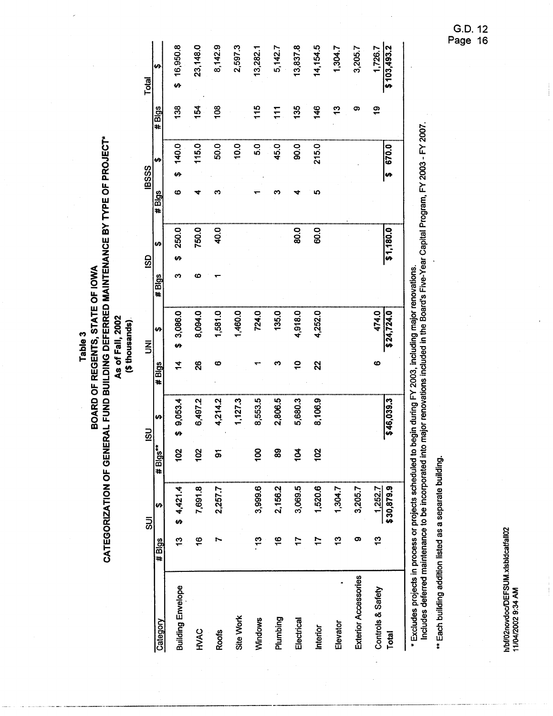Table 3

# **CATEGORIZATION OF GENERAL FUND BUILDING DEFERRED MAINTENANCE BY TYPE OF PROJECT\***<br>CATEGORIZATION OF GENERAL FUND BUILDING DEFERRED MAINTENANCE BY TYPE OF PROJECT\* As of Fall, 2002

(\$ thousands).

|                                                                                                            |                     | $\overline{5}$        |                | ິນ            |               | $\bar{z}$           |       | <b>GSD</b> |       | <b>IBSSS</b> |               | <b>Total</b>           |
|------------------------------------------------------------------------------------------------------------|---------------------|-----------------------|----------------|---------------|---------------|---------------------|-------|------------|-------|--------------|---------------|------------------------|
| Category                                                                                                   | $\frac{4}{10}$ Bigs | မာ                    | # Blgs**       | ₩             | #Blgs         | ↮                   | #Blgs | မာ         | #Blgs | ↮            | #Blgs         | မာ                     |
| <b>Building Envelope</b>                                                                                   | ä                   | \$4,421.4             | 102            | 9,053.4<br>မှ | $\frac{4}{1}$ | \$3,086.0           | ო     | 250.0<br>ø | ဖ     | 140.0        | 138           | 16,950.8<br>s<br>S     |
| HVAC                                                                                                       | $\frac{6}{5}$       | 7,691.8               | $\frac{2}{3}$  | 6,497.2       | $\mathbf{S}$  | 8,094.0             | ဖ     | 750.0      |       | 115.0        | 154           | 23,148.0               |
| <b>Roofs</b>                                                                                               |                     | 2,257.7               | နှ             | 4,214.2       | ဖ             | 1,581.0             |       | 40.0       | ო     | 50.0         | 108           | 8,142.9                |
| Site Work                                                                                                  |                     |                       |                | 1,127.3       |               | 1,460.0             |       |            |       | 10.0         |               | 2,597.3                |
| Windows                                                                                                    | 5                   | 3,999.6               | 8              | 8,553.5       |               | 724.0               |       |            |       | 5.0          | 115           | 13,282.1               |
| Plumbing                                                                                                   | \$                  | 2,156.2               | 89             | 2,806.5       |               | 135.0               |       |            |       | 45.0         | 111           | 5,142.7                |
| Electrical                                                                                                 | 17                  | 3,069.5               | $\overline{5}$ | 5,680.3       | $\tilde{P}$   | 4,918.0             |       | 80.0       |       | <b>90.0</b>  | 135           | 13,837.8               |
| Interior                                                                                                   |                     | 1,520.6               | 102            | 8,106.9       | 22            | 4,252.0             |       | 60.0       | 5     | 215.0        | 146           | 14,154.5               |
| Elevator                                                                                                   | ဣ                   | 1,304.7               |                |               |               |                     |       |            |       |              | $\frac{3}{2}$ | 1,304.7                |
| <b>Exterior Accessories</b>                                                                                | တ                   | 3,205.7               |                |               |               |                     |       |            |       |              | တ             | 3,205.7                |
| Controls & Safety<br><b>Total</b>                                                                          | 5                   | \$30,879.9<br>1,252.7 |                | \$46,039.3    | ဖ             | \$24,724.0<br>474.0 |       | \$1,180.0  |       | 670.0        | ë             | \$103,493.2<br>1,726.7 |
| * Excludes projects in process or projects scheduled to begin during FY 2003, including major renovations. |                     |                       |                |               |               |                     |       |            |       |              |               |                        |

Includes deferred maintenance to be incorporated into major renovations included in the Board's Five-Year Capital Program, FY 2003 - FY 2007.

\*\* Each building addition listed as a separate building.

h/bf/02novdoc/DEFSUM.xlsbldcatfall02<br>11/04/2002 9:34 AM

G.D. 12<br>Page 16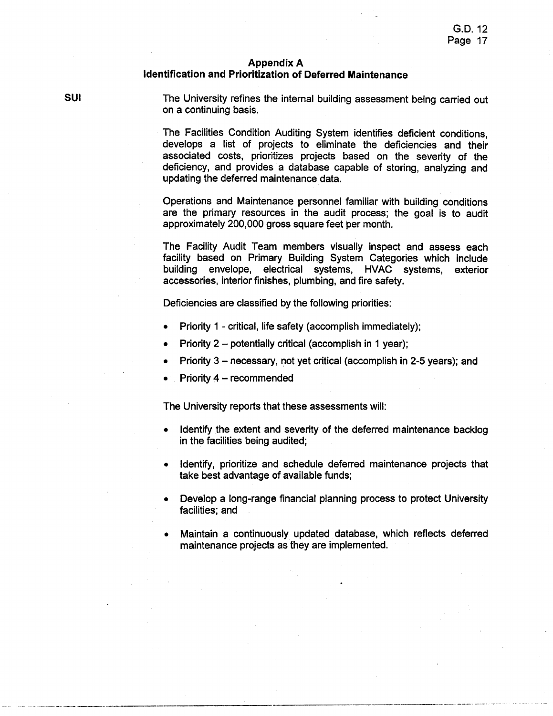## **Appendix A**

## Identification and Prioritization of Deferred Maintenance

**SUI** 

The University refines the internal building assessment being carried out on a continuing basis.

The Facilities Condition Auditing System identifies deficient conditions. develops a list of projects to eliminate the deficiencies and their associated costs, prioritizes projects based on the severity of the deficiency, and provides a database capable of storing, analyzing and updating the deferred maintenance data.

Operations and Maintenance personnel familiar with building conditions are the primary resources in the audit process: the goal is to audit approximately 200,000 gross square feet ber month.

The Facility Audit Team members visually inspect and assess each facility based on Primary Building System Categories which include building envelope, electrical systems, HVAC systems, exterior accessories, interior finishes, plumbing, and fire safety.

Deficiencies are classified by the following priorities:

- Priority 1 critical, life safety (accomplish immediately);
- Priority 2 potentially critical (accomplish in 1 year);
- Priority 3 necessary, not yet critical (accomplish in 2-5 years); and
- Priority 4 recommended

The University reports that these assessments will:

- Identify the extent and severity of the deferred maintenance backlog in the facilities being audited;
- Identify, prioritize and schedule deferred maintenance projects that  $\bullet$ take best advantage of available funds:
- Develop a long-range financial planning process to protect University facilities; and
- Maintain a continuously updated database, which reflects deferred maintenance projects as they are implemented.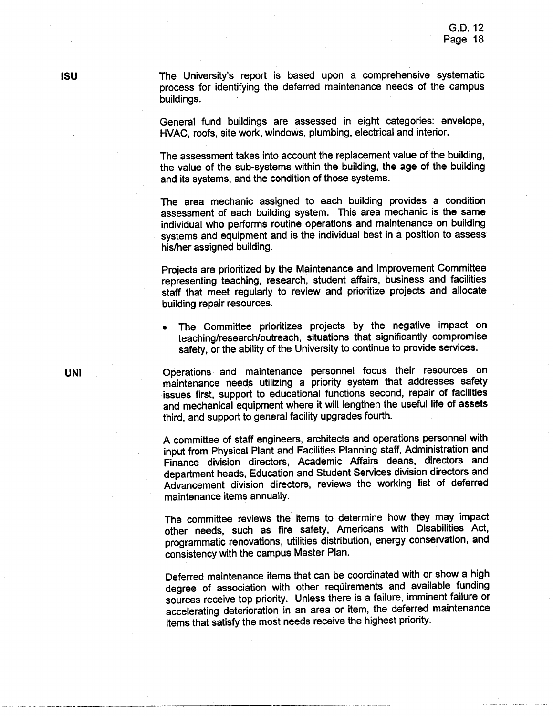The University's report is based upon a comprehensive systematic process for identifying the deferred maintenance needs of the campus buildings.

General fund buildings are assessed in eight categories: envelope, HVAC, roofs, site work, windows, plumbing, electrical and interior.

The assessment takes into account the replacement value of the building. the value of the sub-systems within the building, the age of the building and its systems, and the condition of those systems.

The area mechanic assigned to each building provides a condition assessment of each building system. This area mechanic is the same individual who performs routine operations and maintenance on building systems and equipment and is the individual best in a position to assess his/her assigned building.

Projects are prioritized by the Maintenance and Improvement Committee representing teaching, research, student affairs, business and facilities staff that meet regularly to review and prioritize projects and allocate building repair resources.

The Committee prioritizes projects by the negative impact on teaching/research/outreach, situations that significantly compromise safety, or the ability of the University to continue to provide services.

Operations and maintenance personnel focus their resources on maintenance needs utilizing a priority system that addresses safety issues first, support to educational functions second, repair of facilities and mechanical equipment where it will lengthen the useful life of assets third, and support to general facility upgrades fourth.

A committee of staff engineers, architects and operations personnel with input from Physical Plant and Facilities Planning staff, Administration and Finance division directors, Academic Affairs deans, directors and department heads. Education and Student Services division directors and Advancement division directors, reviews the working list of deferred maintenance items annually.

The committee reviews the items to determine how they may impact other needs, such as fire safety, Americans with Disabilities Act, programmatic renovations, utilities distribution, energy conservation, and consistency with the campus Master Plan.

Deferred maintenance items that can be coordinated with or show a high degree of association with other requirements and available funding sources receive top priority. Unless there is a failure, imminent failure or accelerating deterioration in an area or item, the deferred maintenance items that satisfy the most needs receive the highest priority.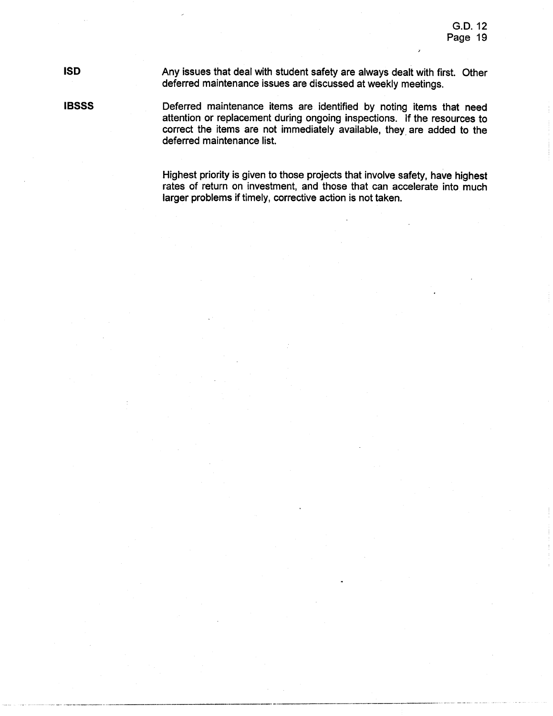# **ISD**

Any issues that deal with student safety are always dealt with first. Other deferred maintenance issues are discussed at weekly meetings.

**IBSSS** 

Deferred maintenance items are identified by noting items that need attention or replacement during ongoing inspections. If the resources to correct the items are not immediately available, they are added to the deferred maintenance list.

Highest priority is given to those projects that involve safety, have highest rates of return on investment, and those that can accelerate into much larger problems if timely, corrective action is not taken.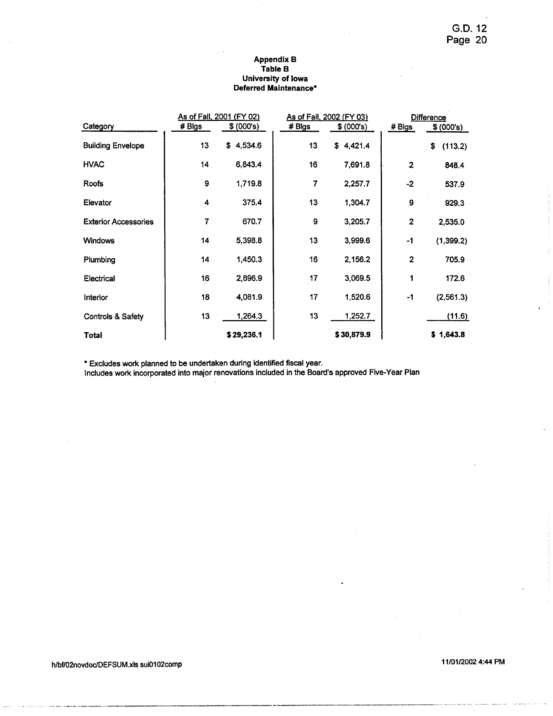## Appendix B<br>Table B University of Iowa<br>Deferred Maintenance\*

| Category                     | # Blgs | As of Fall, 2001 (FY 02)<br>\$ (000's) | # Blgs | As of Fall, 2002 (FY 03)<br>\$ (000's) | # Blgs                  | <b>Difference</b><br>\$ (000's) |
|------------------------------|--------|----------------------------------------|--------|----------------------------------------|-------------------------|---------------------------------|
| <b>Building Envelope</b>     | 13     | \$4,534.6                              | 13     | \$4,421.4                              |                         | \$<br>(113.2)                   |
| <b>HVAC</b>                  | 14     | 6,843.4                                | 16     | 7,691.8                                | $\overline{\mathbf{2}}$ | 848.4                           |
| <b>Roofs</b>                 | 9      | 1,719.8                                | 7      | 2,257.7                                | $-2$                    | 537.9                           |
| Elevator                     | 4      | 375.4                                  | 13     | 1,304.7                                | 9                       | 929.3                           |
| <b>Exterior Accessories</b>  | 7      | 670.7                                  | 9      | 3,205.7                                | $\overline{\mathbf{c}}$ | 2,535.0                         |
| <b>Windows</b>               | 14     | 5,398.8                                | 13     | 3,999.6                                | $-1$                    | (1,399.2)                       |
| Plumbing                     | 14     | 1,450.3                                | 16     | 2,156.2                                | $\mathbf{2}$            | 705.9                           |
| Electrical                   | 16     | 2,896.9                                | 17     | 3,069.5                                | 1                       | 172.6                           |
| Interior                     | 18     | 4,081.9                                | 17     | 1,520.6                                | -1                      | (2,561.3)                       |
| <b>Controls &amp; Safety</b> | 13     | 1,264.3                                | 13     | 1,252.7                                |                         | (11.6)                          |
| <b>Total</b>                 |        | \$29,236.1                             |        | \$30,879.9                             |                         | \$1,643.8                       |

\* Excludes work planned to be undertaken during identified fiscal year.<br>Includes work incorporated into major renovations included in the Board's approved Five-Year Plan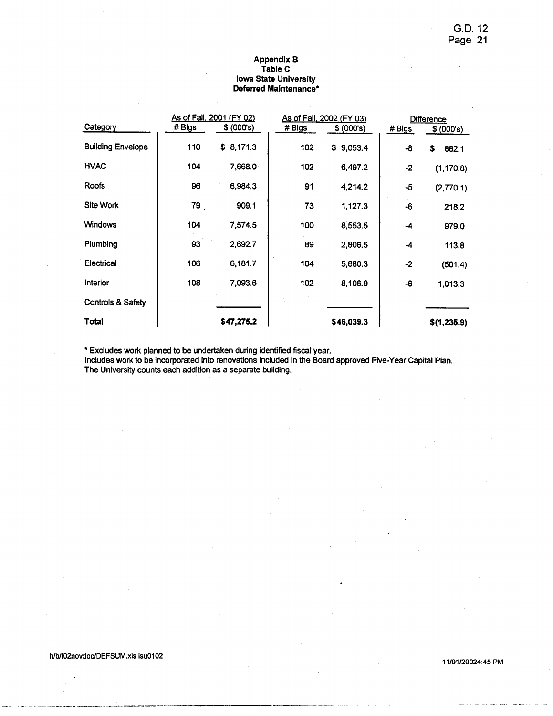### **Appendix B** Table C **lowa State University** Deferred Maintenance\*

| Category                 | # Blgs | As of Fall, 2001 (FY 02)<br>\$ (000's) | # Bigs | As of Fall, 2002 (FY 03)<br>\$ (000's) | # Blgs | <b>Difference</b><br>\$ (000's) |
|--------------------------|--------|----------------------------------------|--------|----------------------------------------|--------|---------------------------------|
| <b>Building Envelope</b> | 110    | \$8,171.3                              | 102    | \$9,053.4                              | -8     | \$<br>882.1                     |
| <b>HVAC</b>              | 104    | 7,668.0                                | 102    | 6,497.2                                | $-2$   | (1, 170.8)                      |
| Roofs                    | 96     | 6,984.3                                | 91     | 4,214.2                                | -5     | (2,770.1)                       |
| <b>Site Work</b>         | 79     | 909.1                                  | 73     | 1,127.3                                | -6     | 218.2                           |
| <b>Windows</b>           | 104    | 7,574.5                                | 100    | 8,553.5                                | -4     | 979.0                           |
| Plumbing                 | 93     | 2,692.7                                | 89     | 2,806.5                                | -4     | 113.8                           |
| Electrical               | 106    | 6,181.7                                | 104    | 5,680.3                                | $-2$   | (501.4)                         |
| Interior                 | 108    | 7,093.6                                | 102    | 8,106.9                                | -6     | 1,013.3                         |
| Controls & Safety        |        |                                        |        |                                        |        |                                 |
| Total                    |        | \$47,275.2                             |        | \$46,039.3                             |        | \$(1,235.9)                     |

\* Excludes work planned to be undertaken during identified fiscal year.

Includes work to be incorporated into renovations included in the Board approved Five-Year Capital Plan. The University counts each addition as a separate building.

l,

11/01/20024:45 PM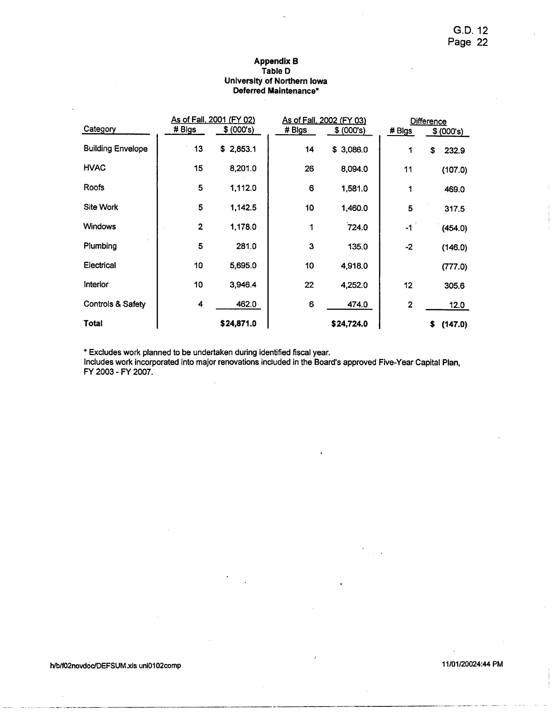## Appendix B<br>Table D University of Northern Iowa Deferred Maintenance\*

| Category                 | # Blgs         | As of Fall, 2001 (FY 02)<br>\$ (000's) | # Blgs | <u>As of Fall, 2002 (FY 03)</u><br>\$ (000's) | # Blgs | <b>Difference</b><br>\$ (000's) |
|--------------------------|----------------|----------------------------------------|--------|-----------------------------------------------|--------|---------------------------------|
| <b>Building Envelope</b> | 13             | \$2,853.1                              | 14     | \$3,086.0                                     |        | \$<br>232.9                     |
| <b>HVAC</b>              | 15             | 8,201.0                                | 26     | 8,094.0                                       | .11    | (107.0)                         |
| Roofs                    | 5              | 1,112.0                                | 6      | 1,581.0                                       | 1      | 469.0                           |
| <b>Site Work</b>         | 5              | 1,142.5                                | 10     | 1,460.0                                       | 5      | 317.5                           |
| <b>Windows</b>           | $\overline{2}$ | 1,178.0                                | 1      | 724.0                                         | -1     | (454.0)                         |
| Plumbing                 | 5              | 281.0                                  | 3      | 135.0                                         | $-2$   | (146.0)                         |
| Electrical               | 10             | 5,695.0                                | 10     | 4,918.0                                       |        | (777.0)                         |
| <b>Interior</b>          | 10             | 3,946.4                                | 22     | 4,252.0                                       | 12     | 305.6                           |
| Controls & Safety        | 4              | 462.0                                  | 6      | 474.0                                         | 2      | 12.0                            |
| <b>Total</b>             |                | \$24,871.0                             |        | \$24,724.0                                    |        | \$<br>(147.0)                   |

\* Excludes work planned to be undertaken during identified fiscal year.

Includes work incorporated into major renovations included in the Board's approved Five-Year Capital Plan, FY 2003 - FY 2007.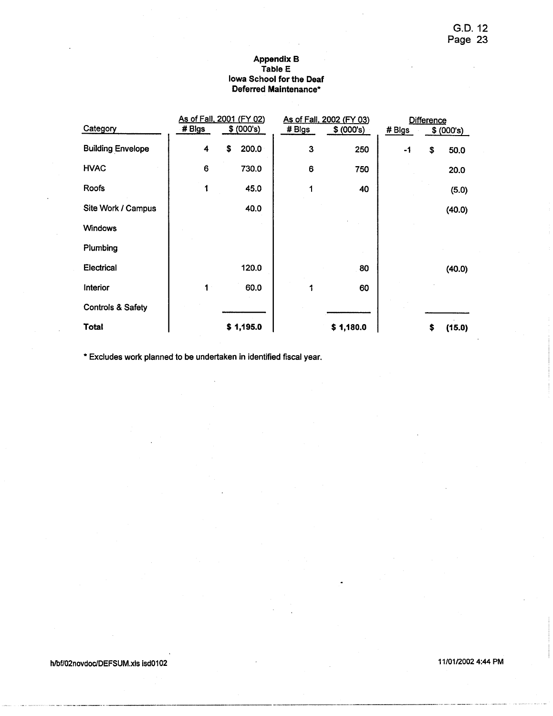## Appendix B<br>Table E lowa School for the Deaf Deferred Maintenance\*

|                              |        | As of Fall, 2001 (FY 02) |        | As of Fall, 2002 (FY 03) |        | <b>Difference</b> |        |
|------------------------------|--------|--------------------------|--------|--------------------------|--------|-------------------|--------|
| Category                     | # Bigs | \$ (000's)               | # Blgs | \$ (000's)               | # Blgs | \$ (000's)        |        |
| <b>Building Envelope</b>     | 4      | 200.0<br>\$              | 3      | 250                      | $-1$   | \$                | 50.0   |
| <b>HVAC</b>                  | 6      | 730.0                    | 6      | 750                      |        |                   | 20.0   |
| Roofs                        |        | 45.0                     | 1      | 40                       |        |                   | (5.0)  |
| Site Work / Campus           |        | 40.0                     |        |                          |        |                   | (40.0) |
| <b>Windows</b>               |        |                          |        |                          |        |                   |        |
| Plumbing                     |        |                          |        |                          |        |                   |        |
| <b>Electrical</b>            |        | 120.0                    |        | 80                       |        |                   | (40.0) |
| Interior                     | 1      | 60.0                     |        | 60                       |        |                   |        |
| <b>Controls &amp; Safety</b> |        |                          |        |                          |        |                   |        |
| Total                        |        | \$1,195.0                |        | \$1,180.0                |        | \$                | (15.0) |

\* Excludes work planned to be undertaken in identified fiscal year.

h/bf/02novdoc/DEFSUM.xls isd0102